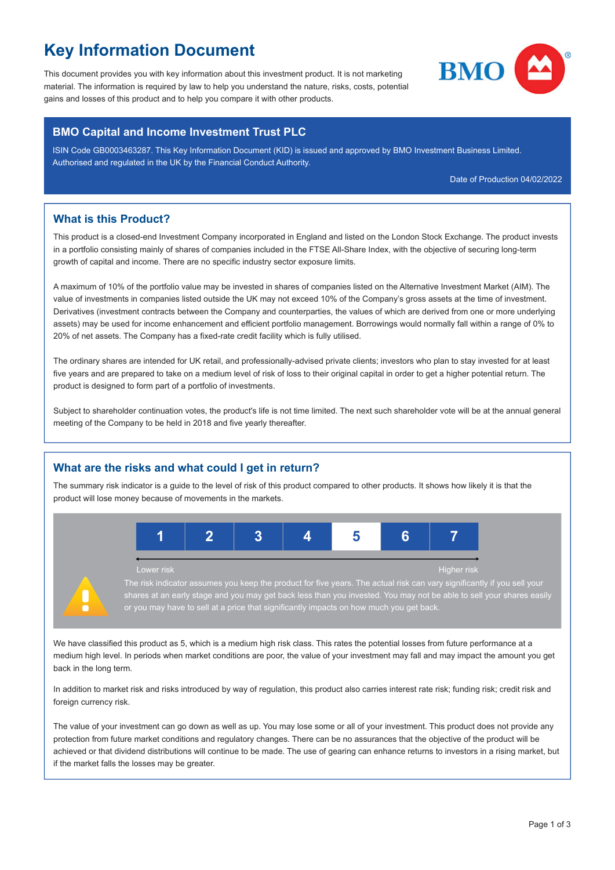# **Key Information Document**

This document provides you with key information about this investment product. It is not marketing material. The information is required by law to help you understand the nature, risks, costs, potential gains and losses of this product and to help you compare it with other products.



### **BMO Capital and Income Investment Trust PLC**

ISIN Code GB0003463287. This Key Information Document (KID) is issued and approved by BMO Investment Business Limited. Authorised and regulated in the UK by the Financial Conduct Authority.

Date of Production 04/02/2022

## **What is this Product?**

This product is a closed-end Investment Company incorporated in England and listed on the London Stock Exchange. The product invests in a portfolio consisting mainly of shares of companies included in the FTSE All-Share Index, with the objective of securing long-term growth of capital and income. There are no specific industry sector exposure limits.

A maximum of 10% of the portfolio value may be invested in shares of companies listed on the Alternative Investment Market (AIM). The value of investments in companies listed outside the UK may not exceed 10% of the Company's gross assets at the time of investment. Derivatives (investment contracts between the Company and counterparties, the values of which are derived from one or more underlying assets) may be used for income enhancement and efficient portfolio management. Borrowings would normally fall within a range of 0% to 20% of net assets. The Company has a fixed-rate credit facility which is fully utilised.

The ordinary shares are intended for UK retail, and professionally-advised private clients; investors who plan to stay invested for at least five years and are prepared to take on a medium level of risk of loss to their original capital in order to get a higher potential return. The product is designed to form part of a portfolio of investments.

Subject to shareholder continuation votes, the product's life is not time limited. The next such shareholder vote will be at the annual general meeting of the Company to be held in 2018 and five yearly thereafter.

## **What are the risks and what could I get in return?**

The summary risk indicator is a guide to the level of risk of this product compared to other products. It shows how likely it is that the product will lose money because of movements in the markets.



The risk indicator assumes you keep the product for five years. The actual risk can vary significantly if you sell your shares at an early stage and you may get back less than you invested. You may not be able to sell your shares easily or you may have to sell at a price that significantly impacts on how much you get back.

We have classified this product as 5, which is a medium high risk class. This rates the potential losses from future performance at a medium high level. In periods when market conditions are poor, the value of your investment may fall and may impact the amount you get back in the long term.

In addition to market risk and risks introduced by way of regulation, this product also carries interest rate risk; funding risk; credit risk and foreign currency risk.

The value of your investment can go down as well as up. You may lose some or all of your investment. This product does not provide any protection from future market conditions and regulatory changes. There can be no assurances that the objective of the product will be achieved or that dividend distributions will continue to be made. The use of gearing can enhance returns to investors in a rising market, but if the market falls the losses may be greater.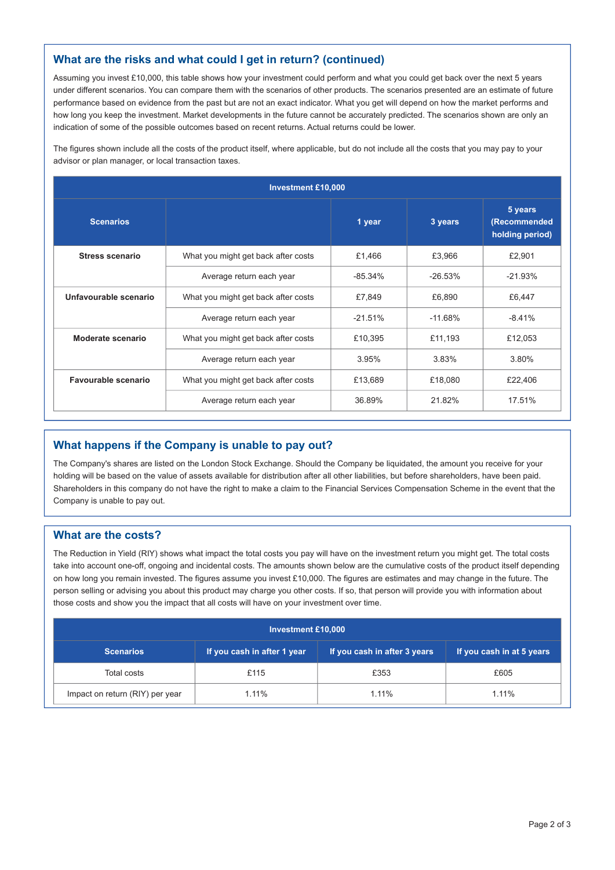## **What are the risks and what could I get in return? (continued)**

Assuming you invest £10,000, this table shows how your investment could perform and what you could get back over the next 5 years under different scenarios. You can compare them with the scenarios of other products. The scenarios presented are an estimate of future performance based on evidence from the past but are not an exact indicator. What you get will depend on how the market performs and how long you keep the investment. Market developments in the future cannot be accurately predicted. The scenarios shown are only an indication of some of the possible outcomes based on recent returns. Actual returns could be lower.

The figures shown include all the costs of the product itself, where applicable, but do not include all the costs that you may pay to your advisor or plan manager, or local transaction taxes.

| <b>Investment £10,000</b> |                                     |           |           |                                            |  |  |
|---------------------------|-------------------------------------|-----------|-----------|--------------------------------------------|--|--|
| <b>Scenarios</b>          |                                     | 1 year    | 3 years   | 5 years<br>(Recommended<br>holding period) |  |  |
| <b>Stress scenario</b>    | What you might get back after costs | £1,466    | £3,966    | £2.901                                     |  |  |
|                           | Average return each year            | $-85.34%$ | $-26.53%$ | $-21.93%$                                  |  |  |
| Unfavourable scenario     | What you might get back after costs | £7,849    | £6,890    | £6,447                                     |  |  |
|                           | Average return each year            | $-21.51%$ | $-11.68%$ | $-8.41%$                                   |  |  |
| Moderate scenario         | What you might get back after costs | £10,395   | £11,193   | £12,053                                    |  |  |
|                           | Average return each year            | 3.95%     | 3.83%     | 3.80%                                      |  |  |
| Favourable scenario       | What you might get back after costs | £13,689   | £18,080   | £22,406                                    |  |  |
|                           | Average return each year            | 36.89%    | 21.82%    | 17.51%                                     |  |  |

## **What happens if the Company is unable to pay out?**

The Company's shares are listed on the London Stock Exchange. Should the Company be liquidated, the amount you receive for your holding will be based on the value of assets available for distribution after all other liabilities, but before shareholders, have been paid. Shareholders in this company do not have the right to make a claim to the Financial Services Compensation Scheme in the event that the Company is unable to pay out.

### **What are the costs?**

The Reduction in Yield (RIY) shows what impact the total costs you pay will have on the investment return you might get. The total costs take into account one-off, ongoing and incidental costs. The amounts shown below are the cumulative costs of the product itself depending on how long you remain invested. The figures assume you invest £10,000. The figures are estimates and may change in the future. The person selling or advising you about this product may charge you other costs. If so, that person will provide you with information about those costs and show you the impact that all costs will have on your investment over time.

| <b>Investment £10,000</b>       |                             |                              |                           |  |  |  |
|---------------------------------|-----------------------------|------------------------------|---------------------------|--|--|--|
| <b>Scenarios</b>                | If you cash in after 1 year | If you cash in after 3 years | If you cash in at 5 years |  |  |  |
| Total costs                     | £115                        | £353                         | £605                      |  |  |  |
| Impact on return (RIY) per year | 1.11%                       | 1.11%                        | 1.11%                     |  |  |  |